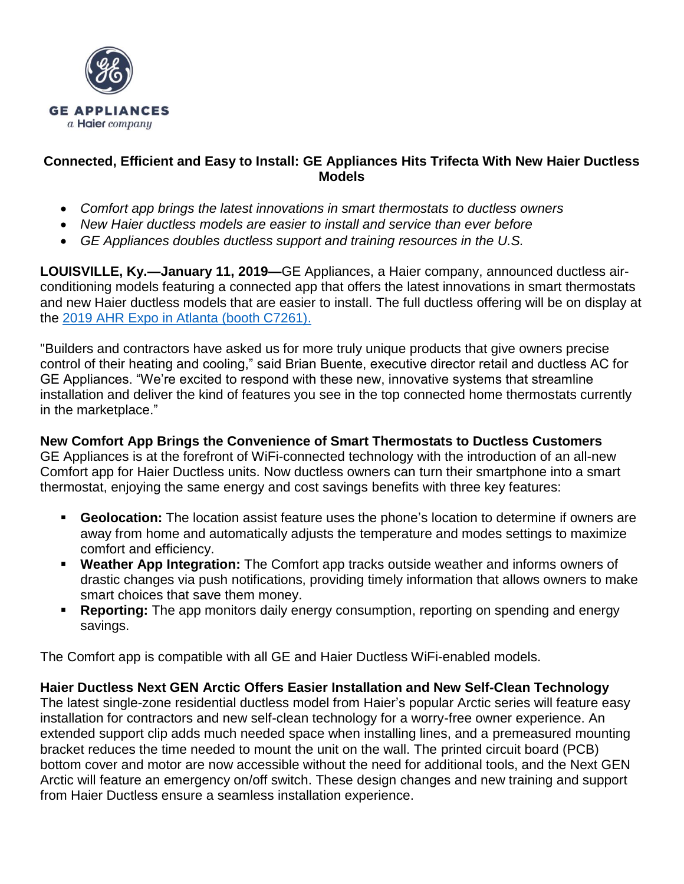

# **Connected, Efficient and Easy to Install: GE Appliances Hits Trifecta With New Haier Ductless Models**

- *Comfort app brings the latest innovations in smart thermostats to ductless owners*
- *New Haier ductless models are easier to install and service than ever before*
- *GE Appliances doubles ductless support and training resources in the U.S.*

**LOUISVILLE, Ky.—January 11, 2019—**GE Appliances, a Haier company, announced ductless airconditioning models featuring a connected app that offers the latest innovations in smart thermostats and new Haier ductless models that are easier to install. The full ductless offering will be on display at the [2019 AHR Expo in Atlanta \(booth C7261\).](https://ahrexpo.com/about/)

"Builders and contractors have asked us for more truly unique products that give owners precise control of their heating and cooling," said Brian Buente, executive director retail and ductless AC for GE Appliances. "We're excited to respond with these new, innovative systems that streamline installation and deliver the kind of features you see in the top connected home thermostats currently in the marketplace."

**New Comfort App Brings the Convenience of Smart Thermostats to Ductless Customers** GE Appliances is at the forefront of WiFi-connected technology with the introduction of an all-new Comfort app for Haier Ductless units. Now ductless owners can turn their smartphone into a smart thermostat, enjoying the same energy and cost savings benefits with three key features:

- **Geolocation:** The location assist feature uses the phone's location to determine if owners are away from home and automatically adjusts the temperature and modes settings to maximize comfort and efficiency.
- **EXECT** Weather App Integration: The Comfort app tracks outside weather and informs owners of drastic changes via push notifications, providing timely information that allows owners to make smart choices that save them money.
- **Reporting:** The app monitors daily energy consumption, reporting on spending and energy savings.

The Comfort app is compatible with all GE and Haier Ductless WiFi-enabled models.

**Haier Ductless Next GEN Arctic Offers Easier Installation and New Self-Clean Technology** The latest single-zone residential ductless model from Haier's popular Arctic series will feature easy installation for contractors and new self-clean technology for a worry-free owner experience. An extended support clip adds much needed space when installing lines, and a premeasured mounting bracket reduces the time needed to mount the unit on the wall. The printed circuit board (PCB) bottom cover and motor are now accessible without the need for additional tools, and the Next GEN Arctic will feature an emergency on/off switch. These design changes and new training and support from Haier Ductless ensure a seamless installation experience.